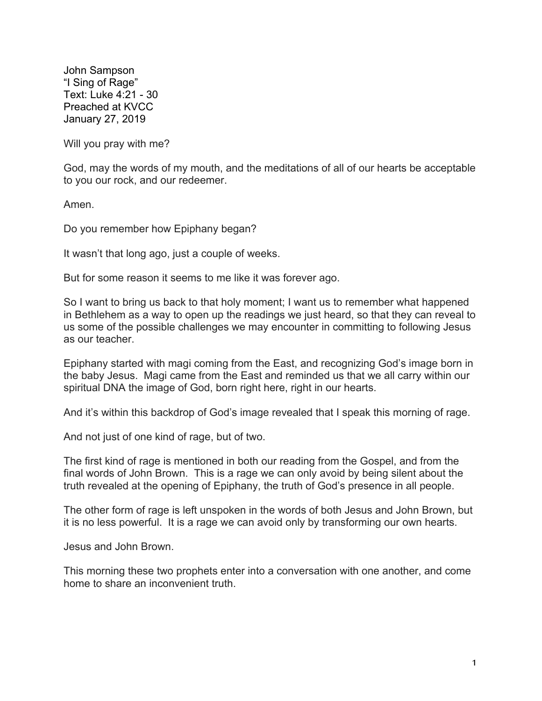John Sampson "I Sing of Rage" Text: Luke 4:21 - 30 Preached at KVCC January 27, 2019

Will you pray with me?

God, may the words of my mouth, and the meditations of all of our hearts be acceptable to you our rock, and our redeemer.

Amen.

Do you remember how Epiphany began?

It wasn't that long ago, just a couple of weeks.

But for some reason it seems to me like it was forever ago.

So I want to bring us back to that holy moment; I want us to remember what happened in Bethlehem as a way to open up the readings we just heard, so that they can reveal to us some of the possible challenges we may encounter in committing to following Jesus as our teacher.

Epiphany started with magi coming from the East, and recognizing God's image born in the baby Jesus. Magi came from the East and reminded us that we all carry within our spiritual DNA the image of God, born right here, right in our hearts.

And it's within this backdrop of God's image revealed that I speak this morning of rage.

And not just of one kind of rage, but of two.

The first kind of rage is mentioned in both our reading from the Gospel, and from the final words of John Brown. This is a rage we can only avoid by being silent about the truth revealed at the opening of Epiphany, the truth of God's presence in all people.

The other form of rage is left unspoken in the words of both Jesus and John Brown, but it is no less powerful. It is a rage we can avoid only by transforming our own hearts.

Jesus and John Brown.

This morning these two prophets enter into a conversation with one another, and come home to share an inconvenient truth.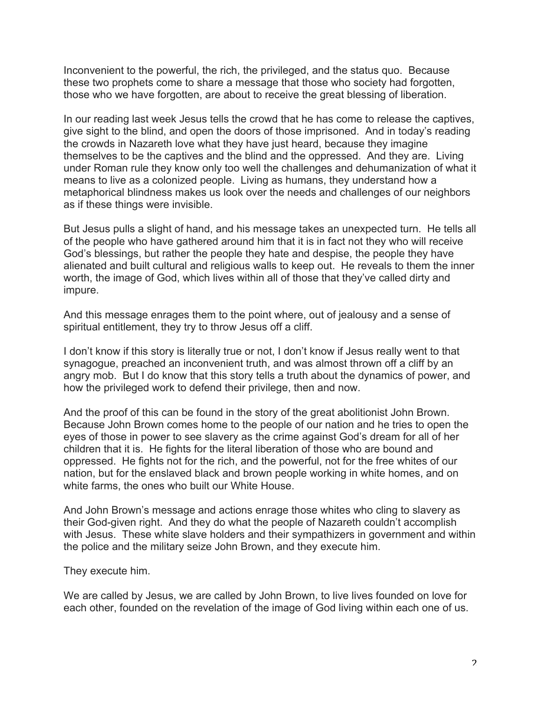Inconvenient to the powerful, the rich, the privileged, and the status quo. Because these two prophets come to share a message that those who society had forgotten, those who we have forgotten, are about to receive the great blessing of liberation.

In our reading last week Jesus tells the crowd that he has come to release the captives, give sight to the blind, and open the doors of those imprisoned. And in today's reading the crowds in Nazareth love what they have just heard, because they imagine themselves to be the captives and the blind and the oppressed. And they are. Living under Roman rule they know only too well the challenges and dehumanization of what it means to live as a colonized people. Living as humans, they understand how a metaphorical blindness makes us look over the needs and challenges of our neighbors as if these things were invisible.

But Jesus pulls a slight of hand, and his message takes an unexpected turn. He tells all of the people who have gathered around him that it is in fact not they who will receive God's blessings, but rather the people they hate and despise, the people they have alienated and built cultural and religious walls to keep out. He reveals to them the inner worth, the image of God, which lives within all of those that they've called dirty and impure.

And this message enrages them to the point where, out of jealousy and a sense of spiritual entitlement, they try to throw Jesus off a cliff.

I don't know if this story is literally true or not, I don't know if Jesus really went to that synagogue, preached an inconvenient truth, and was almost thrown off a cliff by an angry mob. But I do know that this story tells a truth about the dynamics of power, and how the privileged work to defend their privilege, then and now.

And the proof of this can be found in the story of the great abolitionist John Brown. Because John Brown comes home to the people of our nation and he tries to open the eyes of those in power to see slavery as the crime against God's dream for all of her children that it is. He fights for the literal liberation of those who are bound and oppressed. He fights not for the rich, and the powerful, not for the free whites of our nation, but for the enslaved black and brown people working in white homes, and on white farms, the ones who built our White House.

And John Brown's message and actions enrage those whites who cling to slavery as their God-given right. And they do what the people of Nazareth couldn't accomplish with Jesus. These white slave holders and their sympathizers in government and within the police and the military seize John Brown, and they execute him.

They execute him.

We are called by Jesus, we are called by John Brown, to live lives founded on love for each other, founded on the revelation of the image of God living within each one of us.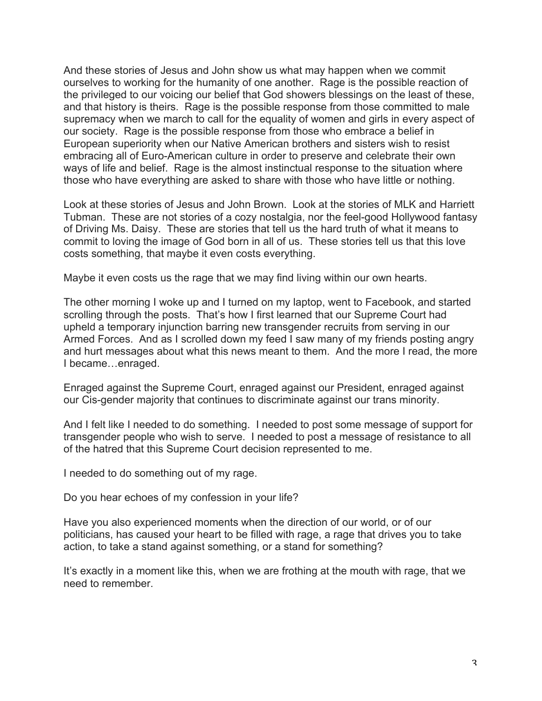And these stories of Jesus and John show us what may happen when we commit ourselves to working for the humanity of one another. Rage is the possible reaction of the privileged to our voicing our belief that God showers blessings on the least of these, and that history is theirs. Rage is the possible response from those committed to male supremacy when we march to call for the equality of women and girls in every aspect of our society. Rage is the possible response from those who embrace a belief in European superiority when our Native American brothers and sisters wish to resist embracing all of Euro-American culture in order to preserve and celebrate their own ways of life and belief. Rage is the almost instinctual response to the situation where those who have everything are asked to share with those who have little or nothing.

Look at these stories of Jesus and John Brown. Look at the stories of MLK and Harriett Tubman. These are not stories of a cozy nostalgia, nor the feel-good Hollywood fantasy of Driving Ms. Daisy. These are stories that tell us the hard truth of what it means to commit to loving the image of God born in all of us. These stories tell us that this love costs something, that maybe it even costs everything.

Maybe it even costs us the rage that we may find living within our own hearts.

The other morning I woke up and I turned on my laptop, went to Facebook, and started scrolling through the posts. That's how I first learned that our Supreme Court had upheld a temporary injunction barring new transgender recruits from serving in our Armed Forces. And as I scrolled down my feed I saw many of my friends posting angry and hurt messages about what this news meant to them. And the more I read, the more I became…enraged.

Enraged against the Supreme Court, enraged against our President, enraged against our Cis-gender majority that continues to discriminate against our trans minority.

And I felt like I needed to do something. I needed to post some message of support for transgender people who wish to serve. I needed to post a message of resistance to all of the hatred that this Supreme Court decision represented to me.

I needed to do something out of my rage.

Do you hear echoes of my confession in your life?

Have you also experienced moments when the direction of our world, or of our politicians, has caused your heart to be filled with rage, a rage that drives you to take action, to take a stand against something, or a stand for something?

It's exactly in a moment like this, when we are frothing at the mouth with rage, that we need to remember.